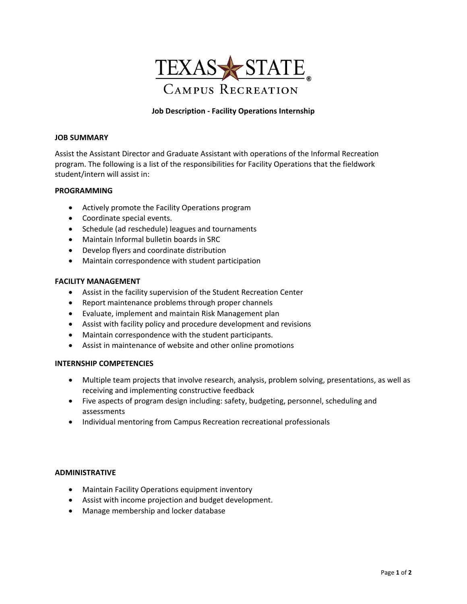

# **Job Description ‐ Facility Operations Internship**

#### **JOB SUMMARY**

Assist the Assistant Director and Graduate Assistant with operations of the Informal Recreation program. The following is a list of the responsibilities for Facility Operations that the fieldwork student/intern will assist in:

### **PROGRAMMING**

- Actively promote the Facility Operations program
- Coordinate special events.
- Schedule (ad reschedule) leagues and tournaments
- Maintain Informal bulletin boards in SRC
- Develop flyers and coordinate distribution
- Maintain correspondence with student participation

### **FACILITY MANAGEMENT**

- Assist in the facility supervision of the Student Recreation Center
- Report maintenance problems through proper channels
- Evaluate, implement and maintain Risk Management plan
- Assist with facility policy and procedure development and revisions
- Maintain correspondence with the student participants.
- Assist in maintenance of website and other online promotions

#### **INTERNSHIP COMPETENCIES**

- Multiple team projects that involve research, analysis, problem solving, presentations, as well as receiving and implementing constructive feedback
- Five aspects of program design including: safety, budgeting, personnel, scheduling and assessments
- Individual mentoring from Campus Recreation recreational professionals

#### **ADMINISTRATIVE**

- Maintain Facility Operations equipment inventory
- Assist with income projection and budget development.
- Manage membership and locker database